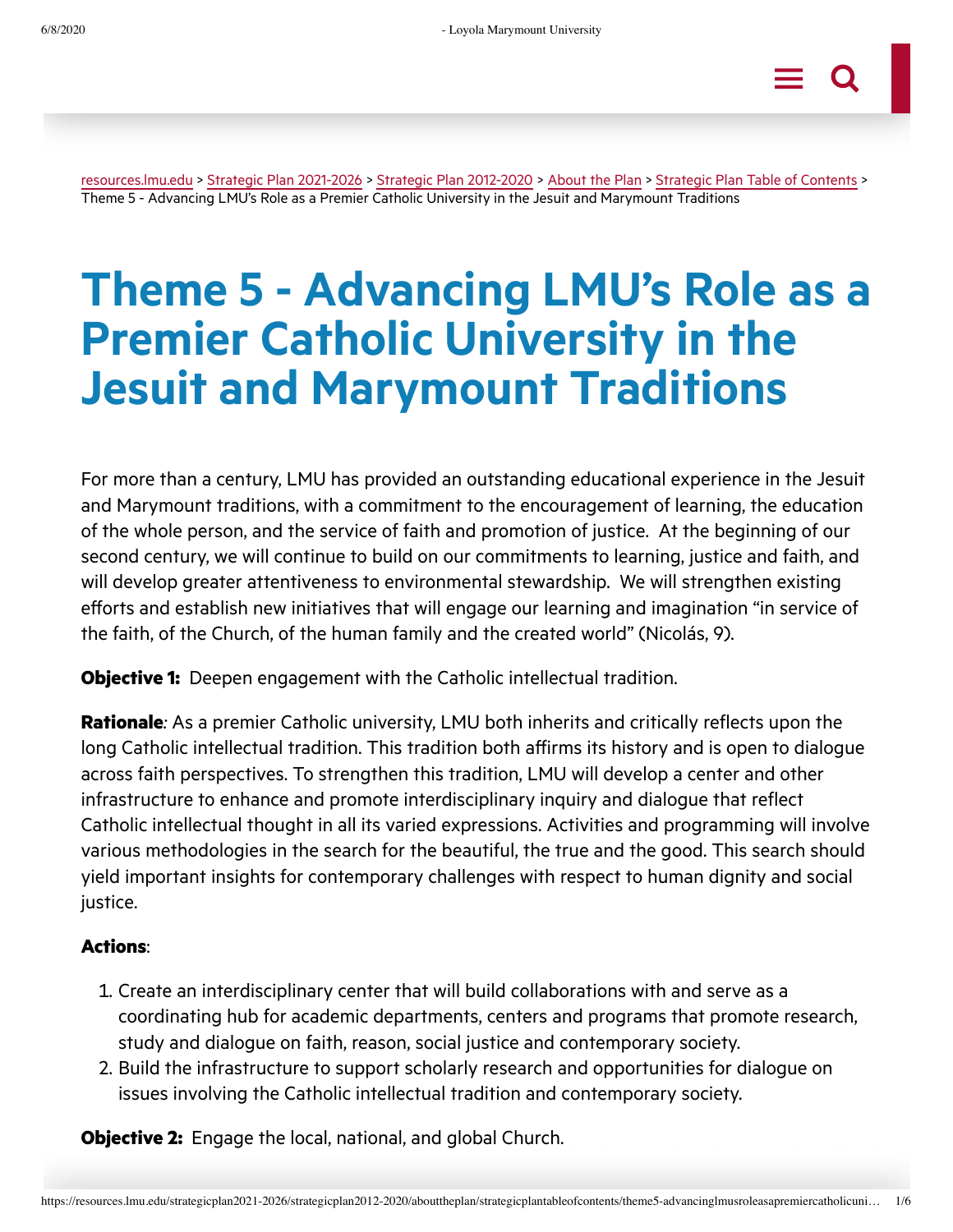[resources.lmu.edu](https://resources.lmu.edu/) > Strategic Plan [2021-2026](https://resources.lmu.edu/strategicplan2021-2026/) > Strategic Plan [2012-2020](https://resources.lmu.edu/strategicplan2021-2026/strategicplan2012-2020/) > [About](https://resources.lmu.edu/strategicplan2021-2026/strategicplan2012-2020/abouttheplan/) the Plan > Strategic Plan Table of [Contents](https://resources.lmu.edu/strategicplan2021-2026/strategicplan2012-2020/abouttheplan/strategicplantableofcontents/) > Theme 5 - Advancing LMU's Role as a Premier Catholic University in the Jesuit and Marymount Traditions

# **Theme 5 - Advancing LMU's Role as a Premier Catholic University in the Jesuit and Marymount Traditions**

For more than a century, LMU has provided an outstanding educational experience in the Jesuit and Marymount traditions, with a commitment to the encouragement of learning, the education of the whole person, and the service of faith and promotion of justice. At the beginning of our second century, we will continue to build on our commitments to learning, justice and faith, and will develop greater attentiveness to environmental stewardship. We will strengthen existing efforts and establish new initiatives that will engage our learning and imagination "in service of the faith, of the Church, of the human family and the created world" (Nicolás, 9).

**Objective 1:** Deepen engagement with the Catholic intellectual tradition.

**Rationale***:* As a premier Catholic university, LMU both inherits and critically reflects upon the long Catholic intellectual tradition. This tradition both affirms its history and is open to dialogue across faith perspectives. To strengthen this tradition, LMU will develop a center and other infrastructure to enhance and promote interdisciplinary inquiry and dialogue that reflect Catholic intellectual thought in all its varied expressions. Activities and programming will involve various methodologies in the search for the beautiful, the true and the good. This search should yield important insights for contemporary challenges with respect to human dignity and social justice.

## **Actions**:

- . Create an interdisciplinary center that will build collaborations with and serve as a coordinating hub for academic departments, centers and programs that promote research, study and dialogue on faith, reason, social justice and contemporary society.
- . Build the infrastructure to support scholarly research and opportunities for dialogue on issues involving the Catholic intellectual tradition and contemporary society.

**Objective 2:** Engage the local, national, and global Church.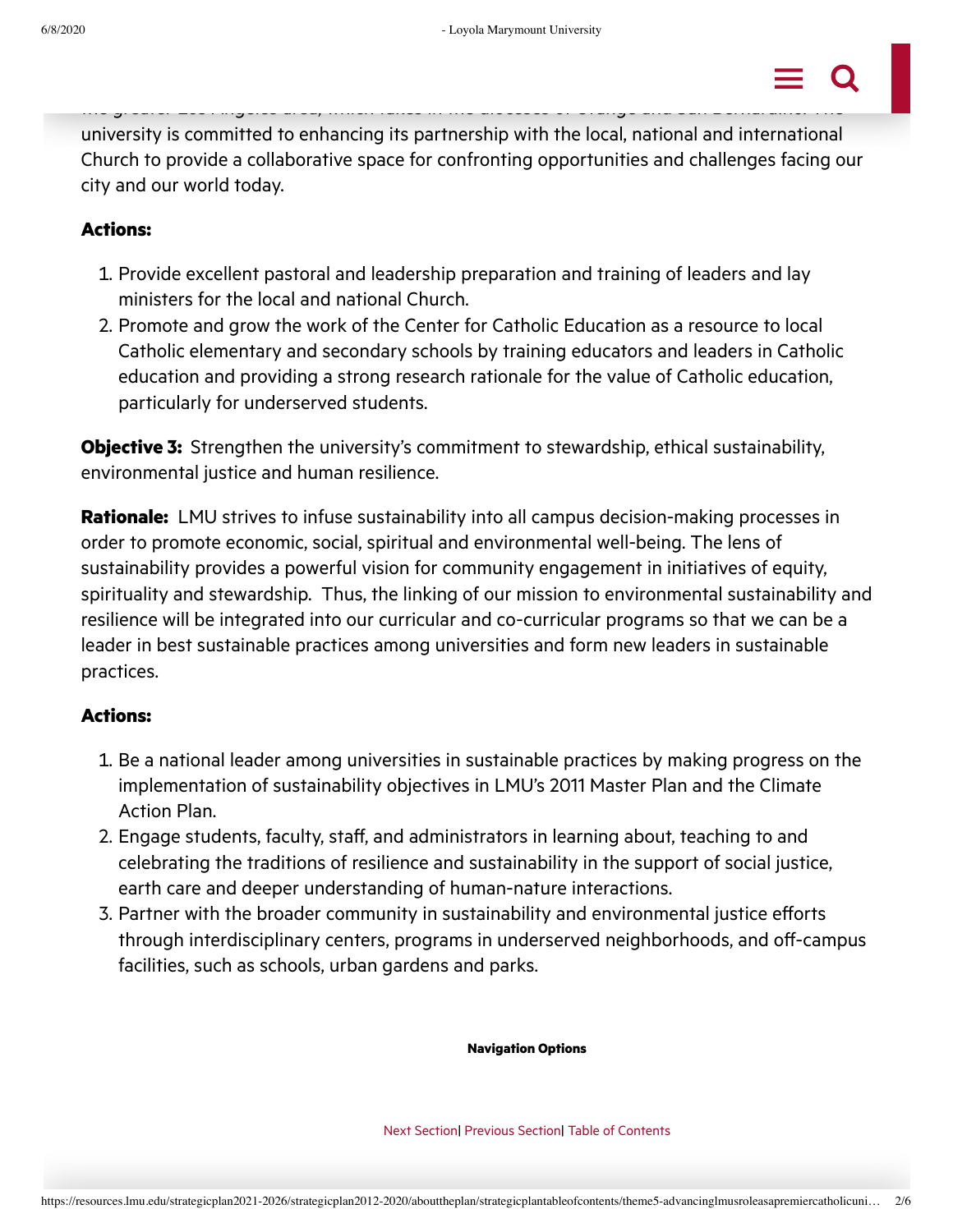

university is committed to enhancing its partnership with the local, national and international Church to provide a collaborative space for confronting opportunities and challenges facing our city and our world today.

## **Actions:**

- . Provide excellent pastoral and leadership preparation and training of leaders and lay ministers for the local and national Church.
- . Promote and grow the work of the Center for Catholic Education as a resource to local Catholic elementary and secondary schools by training educators and leaders in Catholic education and providing a strong research rationale for the value of Catholic education, particularly for underserved students.

**Objective 3:** Strengthen the university's commitment to stewardship, ethical sustainability, environmental justice and human resilience.

**Rationale:** LMU strives to infuse sustainability into all campus decision-making processes in order to promote economic, social, spiritual and environmental well-being. The lens of sustainability provides a powerful vision for community engagement in initiatives of equity, spirituality and stewardship. Thus, the linking of our mission to environmental sustainability and resilience will be integrated into our curricular and co-curricular programs so that we can be a leader in best sustainable practices among universities and form new leaders in sustainable practices.

## **Actions:**

- . Be a national leader among universities in sustainable practices by making progress on the implementation of sustainability objectives in LMU's 2011 Master Plan and the Climate Action Plan.
- . Engage students, faculty, staff, and administrators in learning about, teaching to and celebrating the traditions of resilience and sustainability in the support of social justice, earth care and deeper understanding of human-nature interactions.
- . Partner with the broader community in sustainability and environmental justice efforts through interdisciplinary centers, programs in underserved neighborhoods, and off-campus facilities, such as schools, urban gardens and parks.

**Navigation Options**

Next [Section](https://resources.lmu.edu/strategicplan2021-2026/strategicplan2012-2020/abouttheplan/strategicplantableofcontents/theme6-promotingcompetitivenessandaccountability/)| [Previous](https://resources.lmu.edu/strategicplan2021-2026/strategicplan2012-2020/abouttheplan/strategicplantableofcontents/theme4-commitmenttolocalandglobalcitizenship/) Section| Table of [Contents](https://resources.lmu.edu/strategicplan2021-2026/strategicplan2012-2020/abouttheplan/strategicplantableofcontents/)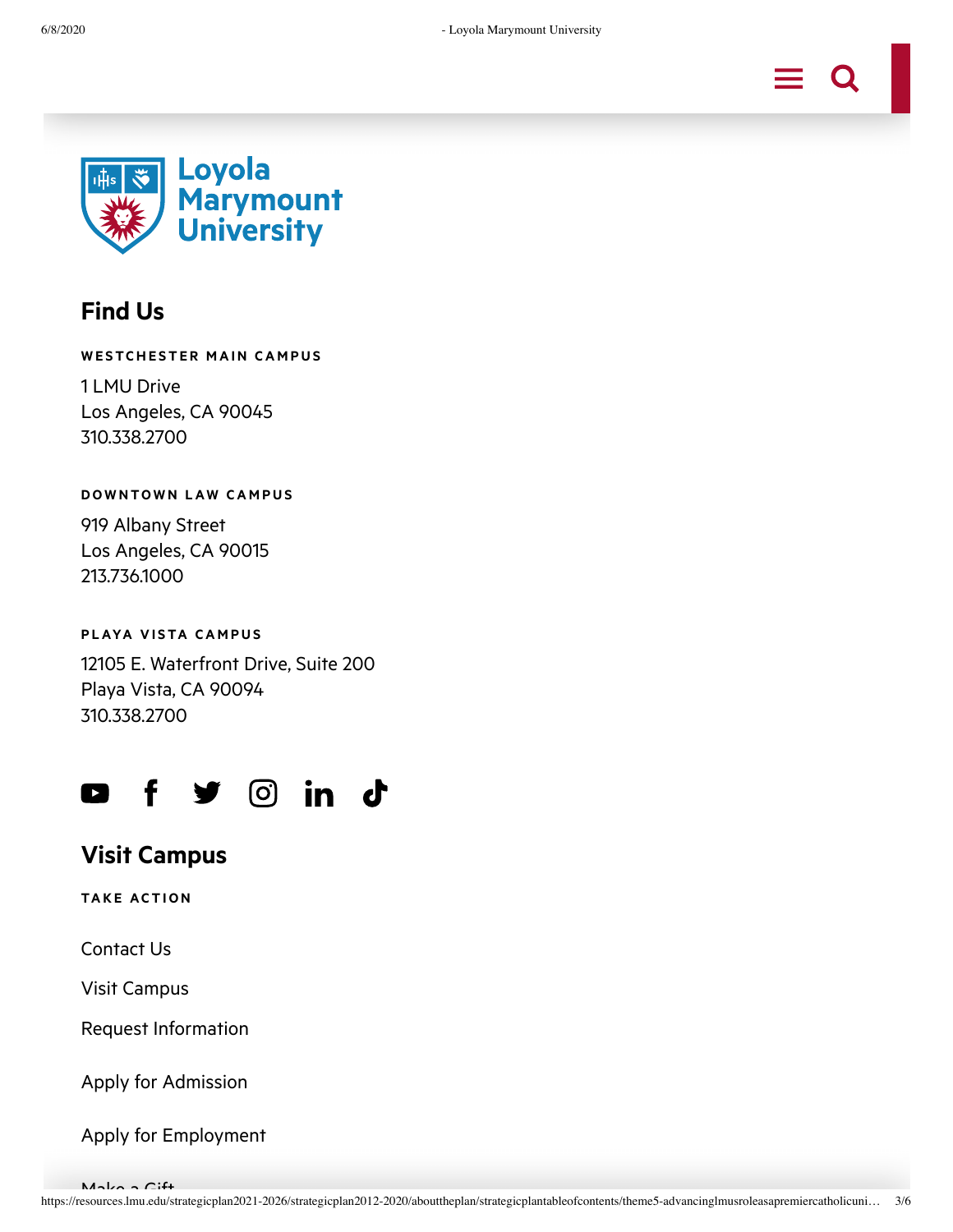



# **Find Us**

#### **WE STCHE ST E R M AIN CA M P U S**

1 LMU Drive Los Angeles, CA 90045 310.338.2700

#### **DOWNTOWN LAW CAMPUS**

919 Albany Street Los Angeles, CA 90015 213.736.1000

### **P LAYA V I STA CA M P U S**

12105 E. Waterfront Drive, Suite 200 Playa Vista, CA 90094 310.338.2700



# **Visit Campus**

**TAK E AC T ION**

[Contact](https://www.lmu.edu/about/contact/) Us

Visit Campus

Request [Information](https://www.lmu.edu/about/contact/)

Apply for [Admission](https://www.lmu.edu/apply/)

Apply for [Employment](https://admin.lmu.edu/hr/)

 $M$ ake a Gift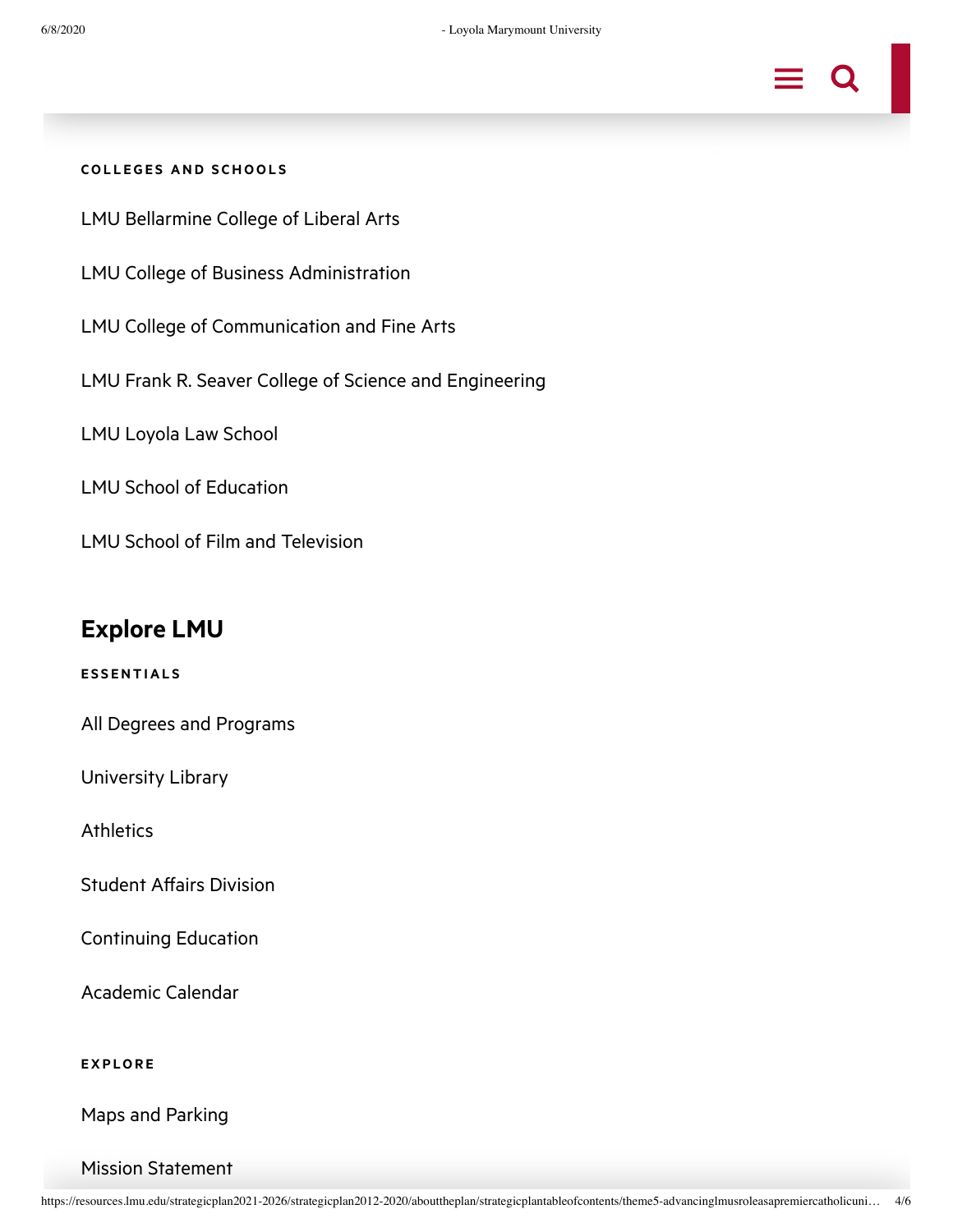

#### **COL L E G E S AND S CHOOL S**

LMU [Bellarmine](https://bellarmine.lmu.edu/) College of Liberal Arts

LMU College of Business [Administration](https://cba.lmu.edu/)

LMU College of [Communication](https://cfa.lmu.edu/) and Fine Arts

LMU Frank R. Seaver College of Science and [Engineering](https://cse.lmu.edu/)

LMU [Loyola](https://www.lls.edu/) Law School

LMU School of [Education](https://soe.lmu.edu/)

LMU School of Film and [Television](https://sftv.lmu.edu/)

# **Explore LMU**

**E S S ENT IAL S**

All Degrees and [Programs](https://www.lmu.edu/academics/degrees/)

[University](http://library.lmu.edu/) Library

**[Athletics](https://www.lmulions.com/)** 

Student Affairs [Division](https://studentaffairs.lmu.edu/)

[Continuing](https://www.lmu.edu/academics/continuingeducation/) Education

[Academic](https://registrar.lmu.edu/academicresources/calendars-academic/) Calendar

**E X P LOR E**

Maps and [Parking](https://www.lmu.edu/resources/campusmaps/)

#### Mission [Statement](https://mission.lmu.edu/mission/)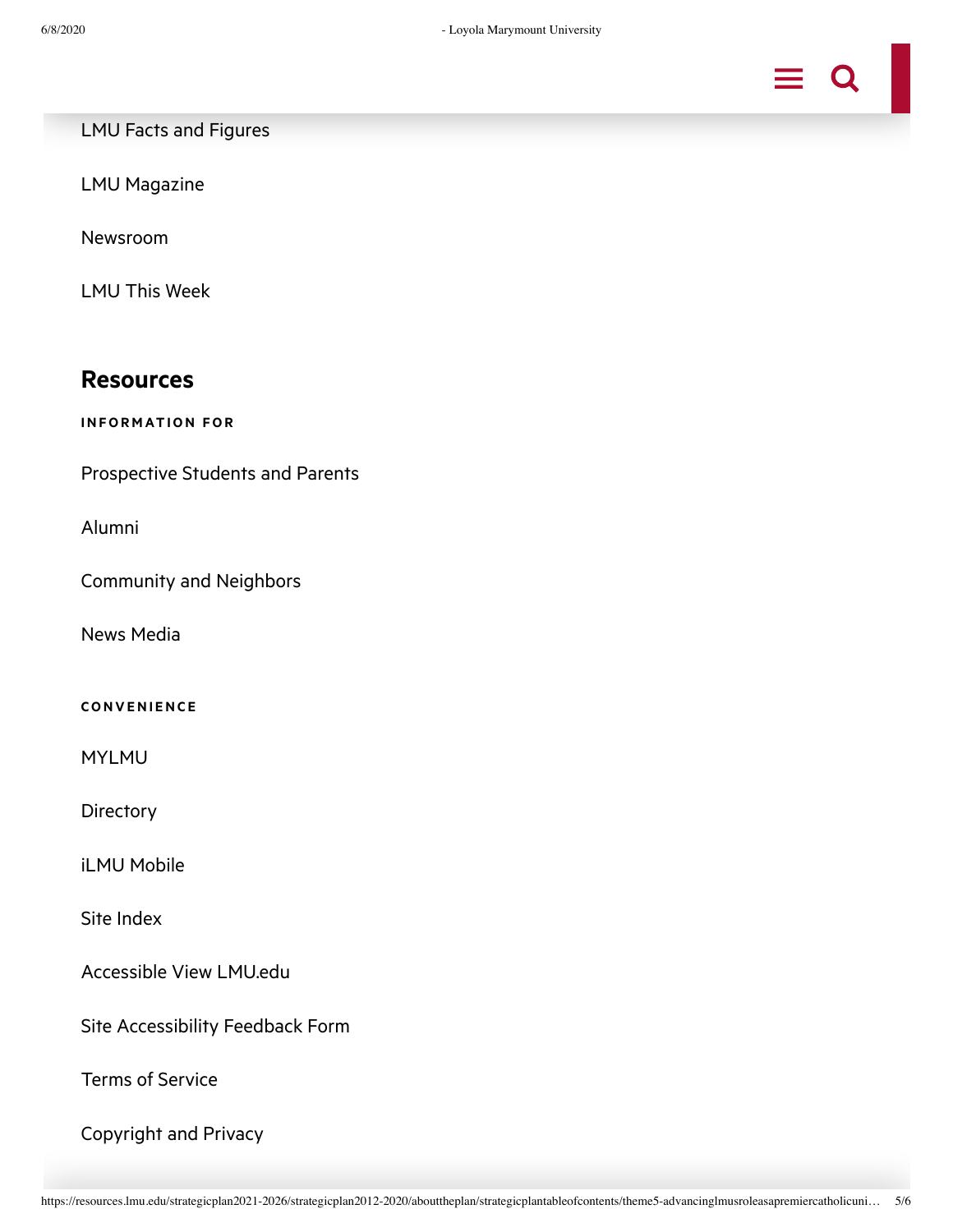

LMU Facts and [Figures](https://www.lmu.edu/about/factsfigures/)

LMU [Magazine](https://magazine.lmu.edu/)

[Newsroom](https://newsroom.lmu.edu/)

LMU This [Week](https://lmuthisweek.lmu.edu/)

## **Resources**

**INFOR M AT ION FOR**

[Prospective](https://www.lmu.edu/apply/) Students and Parents

[Alumni](https://alumni.lmu.edu/)

[Community](https://community.lmu.edu/) and Neighbors

News [Media](https://newsroom.lmu.edu/)

#### **CONV ENI ENC E**

[MYLMU](https://my.lmu.edu/)

**[Directory](https://www.lmu.edu/resources/directory/)** 

iLMU [Mobile](https://mobile.lmu.edu/)

Site [Index](https://www.lmu.edu/about/administrativeofficesdepartments/)

[Accessible](https://assistive.usablenet.com/tt/referrer) View LMU.edu

Site [Accessibility](https://www.lmu.edu/about/siteaccessibilityfeedbackform/) Feedback Form

Terms of [Service](https://www.lmu.edu/tos/)

[Copyright](https://www.lmu.edu/copyright/) and Privacy